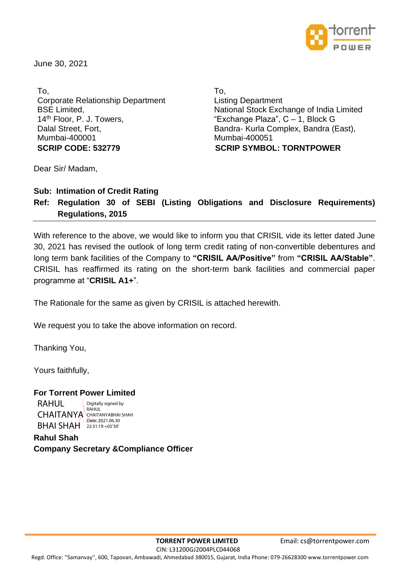

June 30, 2021

To, Corporate Relationship Department BSE Limited, 14<sup>th</sup> Floor, P. J. Towers, Dalal Street, Fort, Mumbai-400001 **SCRIP CODE: 532779 SCRIP SYMBOL: TORNTPOWER**

To, Listing Department National Stock Exchange of India Limited "Exchange Plaza", C – 1, Block G Bandra- Kurla Complex, Bandra (East), Mumbai-400051

Dear Sir/ Madam,

**Sub: Intimation of Credit Rating** 

# **Ref: Regulation 30 of SEBI (Listing Obligations and Disclosure Requirements) Regulations, 2015**

With reference to the above, we would like to inform you that CRISIL vide its letter dated June 30, 2021 has revised the outlook of long term credit rating of non-convertible debentures and long term bank facilities of the Company to **"CRISIL AA/Positive"** from **"CRISIL AA/Stable"**. CRISIL has reaffirmed its rating on the short-term bank facilities and commercial paper programme at "**CRISIL A1+**".

The Rationale for the same as given by CRISIL is attached herewith.

We request you to take the above information on record.

Thanking You,

Yours faithfully,

RAHUL

# **For Torrent Power Limited**

CHAITANYA CHAITANYABHAI SHAH **BHAI SHAH** 22:31:19 +05'30' Digitally signed by RAHUL Date: 2021.06.30

**Rahul Shah Company Secretary &Compliance Officer**

 CIN: L31200GJ2004PLC044068 Regd. Office: ''Samanvay'', 600, Tapovan, Ambawadi, Ahmedabad 380015, Gujarat, India Phone: 079-26628300 www.torrentpower.com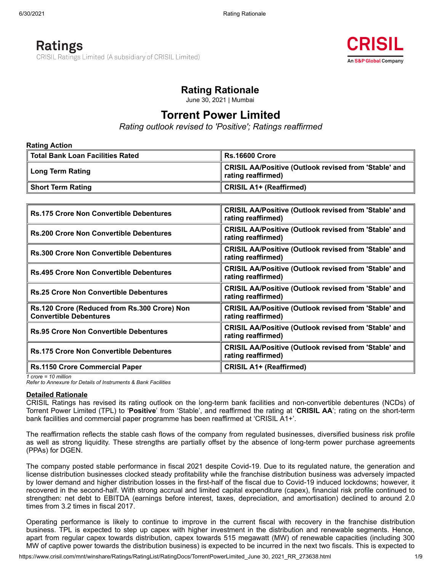# **Ratings** CRISIL Ratings Limited (A subsidiary of CRISIL Limited)



# **Rating Rationale**

June 30, 2021 | Mumbai

# **Torrent Power Limited**

*Rating outlook revised to 'Positive'; Ratings reaffirmed*

| <b>Rating Action</b>               |                                                                             |  |  |  |  |
|------------------------------------|-----------------------------------------------------------------------------|--|--|--|--|
| ∥ Total Bank Loan Facilities Rated | <b>Rs.16600 Crore</b>                                                       |  |  |  |  |
| Long Term Rating                   | CRISIL AA/Positive (Outlook revised from 'Stable' and<br>rating reaffirmed) |  |  |  |  |
| ∥ Short Term Rating                | <b>CRISIL A1+ (Reaffirmed)</b>                                              |  |  |  |  |

| <b>Rs.175 Crore Non Convertible Debentures</b>                                | <b>CRISIL AA/Positive (Outlook revised from 'Stable' and</b><br>rating reaffirmed) |
|-------------------------------------------------------------------------------|------------------------------------------------------------------------------------|
| <b>Rs.200 Crore Non Convertible Debentures</b>                                | <b>CRISIL AA/Positive (Outlook revised from 'Stable' and</b><br>rating reaffirmed) |
| <b>Rs.300 Crore Non Convertible Debentures</b>                                | <b>CRISIL AA/Positive (Outlook revised from 'Stable' and</b><br>rating reaffirmed) |
| <b>Rs.495 Crore Non Convertible Debentures</b>                                | <b>CRISIL AA/Positive (Outlook revised from 'Stable' and</b><br>rating reaffirmed) |
| <b>Rs.25 Crore Non Convertible Debentures</b>                                 | <b>CRISIL AA/Positive (Outlook revised from 'Stable' and</b><br>rating reaffirmed) |
| Rs.120 Crore (Reduced from Rs.300 Crore) Non<br><b>Convertible Debentures</b> | <b>CRISIL AA/Positive (Outlook revised from 'Stable' and</b><br>rating reaffirmed) |
| <b>Rs.95 Crore Non Convertible Debentures</b>                                 | <b>CRISIL AA/Positive (Outlook revised from 'Stable' and</b><br>rating reaffirmed) |
| <b>Rs.175 Crore Non Convertible Debentures</b>                                | <b>CRISIL AA/Positive (Outlook revised from 'Stable' and</b><br>rating reaffirmed) |
| <b>Rs.1150 Crore Commercial Paper</b>                                         | <b>CRISIL A1+ (Reaffirmed)</b>                                                     |

*1 crore = 10 million*

*Refer to Annexure for Details of Instruments & Bank Facilities*

#### **Detailed Rationale**

CRISIL Ratings has revised its rating outlook on the long-term bank facilities and non-convertible debentures (NCDs) of Torrent Power Limited (TPL) to '**Positive**' from 'Stable', and reaffirmed the rating at '**CRISIL AA**'; rating on the short-term bank facilities and commercial paper programme has been reaffirmed at 'CRISIL A1+'.

The reaffirmation reflects the stable cash flows of the company from regulated businesses, diversified business risk profile as well as strong liquidity. These strengths are partially offset by the absence of long-term power purchase agreements (PPAs) for DGEN.

The company posted stable performance in fiscal 2021 despite Covid-19. Due to its regulated nature, the generation and license distribution businesses clocked steady profitability while the franchise distribution business was adversely impacted by lower demand and higher distribution losses in the first-half of the fiscal due to Covid-19 induced lockdowns; however, it recovered in the second-half. With strong accrual and limited capital expenditure (capex), financial risk profile continued to strengthen: net debt to EBITDA (earnings before interest, taxes, depreciation, and amortisation) declined to around 2.0 times from 3.2 times in fiscal 2017.

Operating performance is likely to continue to improve in the current fiscal with recovery in the franchise distribution business. TPL is expected to step up capex with higher investment in the distribution and renewable segments. Hence, apart from regular capex towards distribution, capex towards 515 megawatt (MW) of renewable capacities (including 300 MW of captive power towards the distribution business) is expected to be incurred in the next two fiscals. This is expected to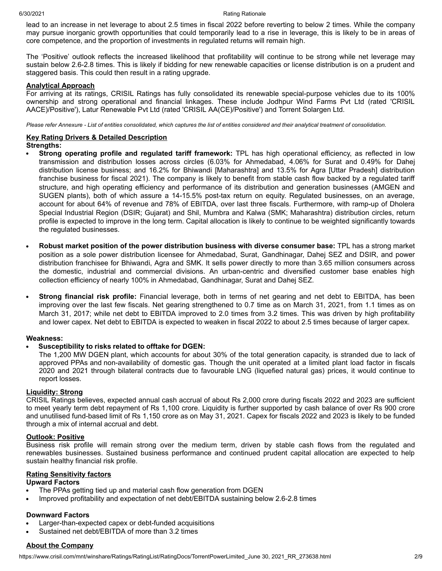lead to an increase in net leverage to about 2.5 times in fiscal 2022 before reverting to below 2 times. While the company may pursue inorganic growth opportunities that could temporarily lead to a rise in leverage, this is likely to be in areas of core competence, and the proportion of investments in regulated returns will remain high.

The 'Positive' outlook reflects the increased likelihood that profitability will continue to be strong while net leverage may sustain below 2.6-2.8 times. This is likely if bidding for new renewable capacities or license distribution is on a prudent and staggered basis. This could then result in a rating upgrade.

#### **Analytical Approach**

For arriving at its ratings, CRISIL Ratings has fully consolidated its renewable special-purpose vehicles due to its 100% ownership and strong operational and financial linkages. These include Jodhpur Wind Farms Pvt Ltd (rated 'CRISIL AACE)/Positive'), Latur Renewable Pvt Ltd (rated 'CRISIL AA(CE)/Positive') and Torrent Solargen Ltd.

Please refer Annexure - List of entities consolidated, which captures the list of entities considered and their analytical treatment of consolidation.

## **Key Rating Drivers & Detailed Description**

#### **Strengths:**

- **Strong operating profile and regulated tariff framework:** TPL has high operational efficiency, as reflected in low  $\bullet$ transmission and distribution losses across circles (6.03% for Ahmedabad, 4.06% for Surat and 0.49% for Dahej distribution license business; and 16.2% for Bhiwandi [Maharashtra] and 13.5% for Agra [Uttar Pradesh] distribution franchise business for fiscal 2021). The company is likely to benefit from stable cash flow backed by a regulated tariff structure, and high operating efficiency and performance of its distribution and generation businesses (AMGEN and SUGEN plants), both of which assure a 14-15.5% post-tax return on equity. Regulated businesses, on an average, account for about 64% of revenue and 78% of EBITDA, over last three fiscals. Furthermore, with ramp-up of Dholera Special Industrial Region (DSIR; Gujarat) and Shil, Mumbra and Kalwa (SMK; Maharashtra) distribution circles, return profile is expected to improve in the long term. Capital allocation is likely to continue to be weighted significantly towards the regulated businesses.
- **Robust market position of the power distribution business with diverse consumer base:** TPL has a strong market position as a sole power distribution licensee for Ahmedabad, Surat, Gandhinagar, Dahej SEZ and DSIR, and power distribution franchisee for Bhiwandi, Agra and SMK. It sells power directly to more than 3.65 million consumers across the domestic, industrial and commercial divisions. An urban-centric and diversified customer base enables high collection efficiency of nearly 100% in Ahmedabad, Gandhinagar, Surat and Dahej SEZ.
- **Strong financial risk profile:** Financial leverage, both in terms of net gearing and net debt to EBITDA, has been improving over the last few fiscals. Net gearing strengthened to 0.7 time as on March 31, 2021, from 1.1 times as on March 31, 2017; while net debt to EBITDA improved to 2.0 times from 3.2 times. This was driven by high profitability and lower capex. Net debt to EBITDA is expected to weaken in fiscal 2022 to about 2.5 times because of larger capex.

#### **Weakness:**

#### **Susceptibility to risks related to offtake for DGEN:**

The 1,200 MW DGEN plant, which accounts for about 30% of the total generation capacity, is stranded due to lack of approved PPAs and non-availability of domestic gas. Though the unit operated at a limited plant load factor in fiscals 2020 and 2021 through bilateral contracts due to favourable LNG (liquefied natural gas) prices, it would continue to report losses.

#### **Liquidity: Strong**

CRISIL Ratings believes, expected annual cash accrual of about Rs 2,000 crore during fiscals 2022 and 2023 are sufficient to meet yearly term debt repayment of Rs 1,100 crore. Liquidity is further supported by cash balance of over Rs 900 crore and unutilised fund-based limit of Rs 1,150 crore as on May 31, 2021. Capex for fiscals 2022 and 2023 is likely to be funded through a mix of internal accrual and debt.

#### **Outlook: Positive**

Business risk profile will remain strong over the medium term, driven by stable cash flows from the regulated and renewables businesses. Sustained business performance and continued prudent capital allocation are expected to help sustain healthy financial risk profile.

#### **Rating Sensitivity factors**

## **Upward Factors**

- The PPAs getting tied up and material cash flow generation from DGEN
- Improved profitability and expectation of net debt/EBITDA sustaining below 2.6-2.8 times

#### **Downward Factors**

- Larger-than-expected capex or debt-funded acquisitions
- Sustained net debt/EBITDA of more than 3.2 times

#### **About the Company**

https://www.crisil.com/mnt/winshare/Ratings/RatingList/RatingDocs/TorrentPowerLimited June 30, 2021 RR\_273638.html 2/9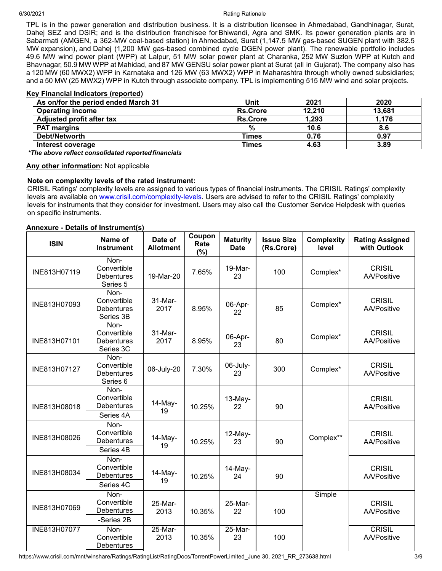TPL is in the power generation and distribution business. It is a distribution licensee in Ahmedabad, Gandhinagar, Surat, Dahej SEZ and DSIR; and is the distribution franchisee for Bhiwandi, Agra and SMK. Its power generation plants are in Sabarmati (AMGEN, a 362-MW coal-based station) in Ahmedabad, Surat (1,147.5 MW gas-based SUGEN plant with 382.5 MW expansion), and Dahej (1,200 MW gas-based combined cycle DGEN power plant). The renewable portfolio includes 49.6 MW wind power plant (WPP) at Lalpur, 51 MW solar power plant at Charanka, 252 MW Suzlon WPP at Kutch and Bhavnagar, 50.9 MW WPP at Mahidad, and 87 MW GENSU solar power plant at Surat (all in Gujarat). The company also has a 120 MW (60 MWX2) WPP in Karnataka and 126 MW (63 MWX2) WPP in Maharashtra through wholly owned subsidiaries; and a 50 MW (25 MWX2) WPP in Kutch through associate company. TPL is implementing 515 MW wind and solar projects.

# **Key Financial Indicators (reported)**

| As on/for the period ended March 31 | Unit            | 2021   | 2020   |
|-------------------------------------|-----------------|--------|--------|
| <b>Operating income</b>             | <b>Rs.Crore</b> | 12,210 | 13,681 |
| <b>Adjusted profit after tax</b>    | <b>Rs.Crore</b> | 1,293  | 1,176  |
| <b>PAT margins</b>                  | %               | 10.6   | 8.6    |
| Debt/Networth                       | Times           | 0.76   | 0.97   |
| Interest coverage                   | Times           | 4.63   | 3.89   |

*\*The above reflect consolidated reportedfinancials*

## **Any other information:** Not applicable

## **Note on complexity levels of the rated instrument:**

CRISIL Ratings' complexity levels are assigned to various types of financial instruments. The CRISIL Ratings' complexity levels are available on [www.crisil.com/complexity-levels](http://www.crisil.com/complexity-levels). Users are advised to refer to the CRISIL Ratings' complexity levels for instruments that they consider for investment. Users may also call the Customer Service Helpdesk with queries on specific instruments.

## **Annexure - Details of Instrument(s)**

| <b>ISIN</b>  | Name of<br><b>Instrument</b>                                    | Date of<br><b>Allotment</b> | Coupon<br>Rate<br>(%) | <b>Maturity</b><br><b>Date</b> | <b>Issue Size</b><br>(Rs.Crore) | <b>Complexity</b><br>level | <b>Rating Assigned</b><br>with Outlook |
|--------------|-----------------------------------------------------------------|-----------------------------|-----------------------|--------------------------------|---------------------------------|----------------------------|----------------------------------------|
| INE813H07119 | Non-<br>Convertible<br><b>Debentures</b><br>Series 5            | 19-Mar-20                   | 7.65%                 | 19-Mar-<br>23                  | 100                             | Complex*                   | <b>CRISIL</b><br><b>AA/Positive</b>    |
| INE813H07093 | Non-<br>Convertible<br><b>Debentures</b><br>Series 3B           | 31-Mar-<br>2017             | 8.95%                 | 06-Apr-<br>22                  | 85                              | Complex*                   | <b>CRISIL</b><br><b>AA/Positive</b>    |
| INE813H07101 | Non-<br>Convertible<br><b>Debentures</b><br>Series 3C           | 31-Mar-<br>2017             | 8.95%                 | 06-Apr-<br>23                  | 80                              | Complex*                   | <b>CRISIL</b><br><b>AA/Positive</b>    |
| INE813H07127 | Non-<br>Convertible<br><b>Debentures</b><br>Series <sub>6</sub> | 06-July-20                  | 7.30%                 | 06-July-<br>23                 | 300                             | Complex*                   | <b>CRISIL</b><br><b>AA/Positive</b>    |
| INE813H08018 | Non-<br>Convertible<br>Debentures<br>Series 4A                  | 14-May-<br>19               | 10.25%                | $13-May-$<br>22                | 90                              |                            | <b>CRISIL</b><br><b>AA/Positive</b>    |
| INE813H08026 | Non-<br>Convertible<br><b>Debentures</b><br>Series 4B           | 14-May-<br>19               | 10.25%                | 12-May-<br>23                  | 90                              | Complex**                  | <b>CRISIL</b><br>AA/Positive           |
| INE813H08034 | Non-<br>Convertible<br>Debentures<br>Series 4C                  | 14-May-<br>19               | 10.25%                | 14-May-<br>24                  | 90                              |                            | <b>CRISIL</b><br><b>AA/Positive</b>    |
| INE813H07069 | Non-<br>Convertible<br><b>Debentures</b><br>-Series 2B          | 25-Mar-<br>2013             | 10.35%                | 25-Mar-<br>22                  | 100                             | Simple                     | <b>CRISIL</b><br>AA/Positive           |
| INE813H07077 | Non-<br>Convertible<br><b>Debentures</b>                        | 25-Mar-<br>2013             | 10.35%                | 25-Mar-<br>23                  | 100                             |                            | <b>CRISIL</b><br><b>AA/Positive</b>    |

https://www.crisil.com/mnt/winshare/Ratings/RatingList/RatingDocs/TorrentPowerLimited June 30, 2021 RR\_273638.html 3/9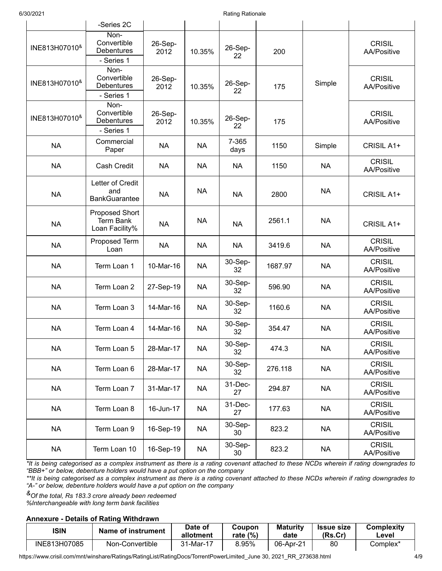|                               | -Series 2C                                                  |                 |           |               |         |           |                              |
|-------------------------------|-------------------------------------------------------------|-----------------|-----------|---------------|---------|-----------|------------------------------|
| INE813H07010 <sup>&amp;</sup> | Non-<br>Convertible<br>Debentures<br>- Series 1             | 26-Sep-<br>2012 | 10.35%    | 26-Sep-<br>22 | 200     |           | <b>CRISIL</b><br>AA/Positive |
| INE813H07010 <sup>&amp;</sup> | Non-<br>Convertible<br>Debentures<br>- Series 1             | 26-Sep-<br>2012 | 10.35%    | 26-Sep-<br>22 | 175     | Simple    | <b>CRISIL</b><br>AA/Positive |
| INE813H07010 <sup>&amp;</sup> | Non-<br>Convertible<br><b>Debentures</b><br>- Series 1      | 26-Sep-<br>2012 | 10.35%    | 26-Sep-<br>22 | 175     |           | <b>CRISIL</b><br>AA/Positive |
| <b>NA</b>                     | Commercial<br>Paper                                         | <b>NA</b>       | <b>NA</b> | 7-365<br>days | 1150    | Simple    | CRISIL A1+                   |
| <b>NA</b>                     | Cash Credit                                                 | <b>NA</b>       | <b>NA</b> | <b>NA</b>     | 1150    | <b>NA</b> | <b>CRISIL</b><br>AA/Positive |
| <b>NA</b>                     | Letter of Credit<br>and<br><b>BankGuarantee</b>             | <b>NA</b>       | <b>NA</b> | <b>NA</b>     | 2800    | <b>NA</b> | CRISIL A1+                   |
| <b>NA</b>                     | <b>Proposed Short</b><br><b>Term Bank</b><br>Loan Facility% | <b>NA</b>       | <b>NA</b> | <b>NA</b>     | 2561.1  | <b>NA</b> | CRISIL A1+                   |
| <b>NA</b>                     | Proposed Term<br>Loan                                       | <b>NA</b>       | <b>NA</b> | <b>NA</b>     | 3419.6  | <b>NA</b> | <b>CRISIL</b><br>AA/Positive |
| <b>NA</b>                     | Term Loan 1                                                 | 10-Mar-16       | <b>NA</b> | 30-Sep-<br>32 | 1687.97 | <b>NA</b> | <b>CRISIL</b><br>AA/Positive |
| <b>NA</b>                     | Term Loan 2                                                 | 27-Sep-19       | <b>NA</b> | 30-Sep-<br>32 | 596.90  | <b>NA</b> | <b>CRISIL</b><br>AA/Positive |
| <b>NA</b>                     | Term Loan 3                                                 | 14-Mar-16       | <b>NA</b> | 30-Sep-<br>32 | 1160.6  | <b>NA</b> | <b>CRISIL</b><br>AA/Positive |
| <b>NA</b>                     | Term Loan 4                                                 | 14-Mar-16       | <b>NA</b> | 30-Sep-<br>32 | 354.47  | <b>NA</b> | <b>CRISIL</b><br>AA/Positive |
| <b>NA</b>                     | Term Loan 5                                                 | 28-Mar-17       | <b>NA</b> | 30-Sep-<br>32 | 474.3   | <b>NA</b> | <b>CRISIL</b><br>AA/Positive |
| <b>NA</b>                     | Term Loan 6                                                 | 28-Mar-17       | <b>NA</b> | 30-Sep-<br>32 | 276.118 | <b>NA</b> | <b>CRISIL</b><br>AA/Positive |
| <b>NA</b>                     | Term Loan 7                                                 | 31-Mar-17       | <b>NA</b> | 31-Dec-<br>27 | 294.87  | <b>NA</b> | <b>CRISIL</b><br>AA/Positive |
| <b>NA</b>                     | Term Loan 8                                                 | 16-Jun-17       | <b>NA</b> | 31-Dec-<br>27 | 177.63  | <b>NA</b> | <b>CRISIL</b><br>AA/Positive |
| <b>NA</b>                     | Term Loan 9                                                 | 16-Sep-19       | <b>NA</b> | 30-Sep-<br>30 | 823.2   | <b>NA</b> | <b>CRISIL</b><br>AA/Positive |
| <b>NA</b>                     | Term Loan 10                                                | 16-Sep-19       | <b>NA</b> | 30-Sep-<br>30 | 823.2   | <b>NA</b> | <b>CRISIL</b><br>AA/Positive |

*\*It is being categorised as a complex instrument as there is a rating covenant attached to these NCDs wherein if rating downgrades to "BBB+" or below, debenture holders would have a put option on the company*

*\*\*It is being categorised as a complex instrument as there is a rating covenant attached to these NCDs wherein if rating downgrades to "A-" or below, debenture holders would have a put option on the company*

*&Of the total, Rs 183.3 crore already been redeemed %Interchangeable with long term bank facilities*

# **Annexure - Details of Rating Withdrawn**

| <b>ISIN</b>  | Name of instrument | Date of<br>allotment | <b>Coupon</b><br>rate $(\%)$ | <b>Maturity</b><br>date | <b>Issue size</b><br>(Rs.Cr) | Complexity<br>∟evel |
|--------------|--------------------|----------------------|------------------------------|-------------------------|------------------------------|---------------------|
| INE813H07085 | Non-Convertible    | 31-Mar-17            | 8.95%                        | 06-Apr-21               | 80                           | Complex*            |

https://www.crisil.com/mnt/winshare/Ratings/RatingList/RatingDocs/TorrentPowerLimited\_June 30, 2021\_RR\_273638.html 4/9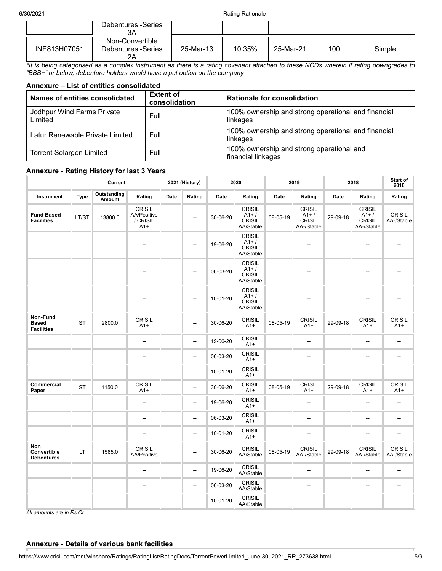|              | Debentures -Series<br>ЗΑ                    |           |        |           |     |        |
|--------------|---------------------------------------------|-----------|--------|-----------|-----|--------|
| INE813H07051 | Non-Convertible<br>Debentures -Series<br>2Α | 25-Mar-13 | 10.35% | 25-Mar-21 | 100 | Simple |

*\*It is being categorised as a complex instrument as there is a rating covenant attached to these NCDs wherein if rating downgrades to "BBB+" or below, debenture holders would have a put option on the company*

## **Annexure – List of entities consolidated**

| Names of entities consolidated          | <b>Extent of</b><br>consolidation | <b>Rationale for consolidation</b>                              |
|-----------------------------------------|-----------------------------------|-----------------------------------------------------------------|
| Jodhpur Wind Farms Private<br>Limited   | Full                              | 100% ownership and strong operational and financial<br>linkages |
| Latur Renewable Private Limited<br>Full |                                   | 100% ownership and strong operational and financial<br>linkages |
| <b>Torrent Solargen Limited</b>         | Full                              | 100% ownership and strong operational and<br>financial linkages |

# **Annexure - Rating History for last 3 Years**

|                                                |             | Current               |                                                   |      | 2021 (History)           | 2020     |                                                      | 2019     |                                                       | 2018        |                                                       | Start of<br>2018            |
|------------------------------------------------|-------------|-----------------------|---------------------------------------------------|------|--------------------------|----------|------------------------------------------------------|----------|-------------------------------------------------------|-------------|-------------------------------------------------------|-----------------------------|
| Instrument                                     | <b>Type</b> | Outstanding<br>Amount | Rating                                            | Date | Rating                   | Date     | Rating                                               | Date     | Rating                                                | <b>Date</b> | Rating                                                | Rating                      |
| <b>Fund Based</b><br><b>Facilities</b>         | LT/ST       | 13800.0               | <b>CRISIL</b><br>AA/Positive<br>/ CRISIL<br>$A1+$ |      | $\overline{\phantom{a}}$ | 30-06-20 | <b>CRISIL</b><br>$A1+$<br><b>CRISIL</b><br>AA/Stable | 08-05-19 | <b>CRISIL</b><br>$A1+$<br><b>CRISIL</b><br>AA-/Stable | 29-09-18    | <b>CRISIL</b><br>$A1+$<br><b>CRISIL</b><br>AA-/Stable | <b>CRISIL</b><br>AA-/Stable |
|                                                |             |                       | Щ,                                                |      | $\overline{\phantom{a}}$ | 19-06-20 | <b>CRISIL</b><br>$A1+$<br><b>CRISIL</b><br>AA/Stable |          | ш,                                                    |             | $\overline{a}$                                        |                             |
|                                                |             |                       | --                                                |      | --                       | 06-03-20 | <b>CRISIL</b><br>$A1+$<br><b>CRISIL</b><br>AA/Stable |          | --                                                    |             | --                                                    |                             |
|                                                |             |                       | −−                                                |      | $\overline{\phantom{a}}$ | 10-01-20 | <b>CRISIL</b><br>$A1+$<br><b>CRISIL</b><br>AA/Stable |          | --                                                    |             | $\overline{a}$                                        |                             |
| Non-Fund<br><b>Based</b><br><b>Facilities</b>  | <b>ST</b>   | 2800.0                | <b>CRISIL</b><br>$A1+$                            |      | --                       | 30-06-20 | <b>CRISIL</b><br>$A1+$                               | 08-05-19 | <b>CRISIL</b><br>$A1+$                                | 29-09-18    | <b>CRISIL</b><br>$A1+$                                | CRISIL<br>$A1+$             |
|                                                |             |                       | --                                                |      | $\overline{\phantom{a}}$ | 19-06-20 | <b>CRISIL</b><br>$A1+$                               |          | --                                                    |             | $\overline{\phantom{a}}$                              | $\overline{\phantom{a}}$    |
|                                                |             |                       | --                                                |      | $\overline{\phantom{a}}$ | 06-03-20 | <b>CRISIL</b><br>$A1+$                               |          | --                                                    |             | --                                                    | $\overline{\phantom{a}}$    |
|                                                |             |                       | --                                                |      | --                       | 10-01-20 | <b>CRISIL</b><br>$A1+$                               |          | --                                                    |             | --                                                    | $\overline{\phantom{a}}$    |
| Commercial<br>Paper                            | <b>ST</b>   | 1150.0                | <b>CRISIL</b><br>$A1+$                            |      | $\overline{\phantom{a}}$ | 30-06-20 | CRISIL<br>$A1+$                                      | 08-05-19 | CRISIL<br>$A1+$                                       | 29-09-18    | <b>CRISIL</b><br>$A1+$                                | <b>CRISIL</b><br>$A1+$      |
|                                                |             |                       | $\qquad \qquad \cdots$                            |      | $\overline{\phantom{a}}$ | 19-06-20 | <b>CRISIL</b><br>$A1+$                               |          | --                                                    |             | --                                                    | $\overline{\phantom{m}}$    |
|                                                |             |                       | $\overline{\phantom{a}}$                          |      | --                       | 06-03-20 | <b>CRISIL</b><br>$A1+$                               |          | --                                                    |             | $\overline{\phantom{a}}$                              | $\overline{\phantom{a}}$    |
|                                                |             |                       | --                                                |      | $\overline{\phantom{a}}$ | 10-01-20 | <b>CRISIL</b><br>$A1+$                               |          | --                                                    |             | --                                                    | $\overline{\phantom{a}}$    |
| <b>Non</b><br>Convertible<br><b>Debentures</b> | LT          | 1585.0                | <b>CRISIL</b><br>AA/Positive                      |      | $\overline{\phantom{a}}$ | 30-06-20 | <b>CRISIL</b><br>AA/Stable                           | 08-05-19 | <b>CRISIL</b><br>AA-/Stable                           | 29-09-18    | <b>CRISIL</b><br>AA-/Stable                           | <b>CRISIL</b><br>AA-/Stable |
|                                                |             |                       | --                                                |      | $\overline{\phantom{a}}$ | 19-06-20 | CRISIL<br>AA/Stable                                  |          | --                                                    |             | $\overline{a}$                                        | $\overline{a}$              |
|                                                |             |                       | --                                                |      | $\overline{\phantom{a}}$ | 06-03-20 | <b>CRISIL</b><br>AA/Stable                           |          | --                                                    |             | --                                                    | $\overline{\phantom{a}}$    |
|                                                |             |                       | --                                                |      | $\sim$                   | 10-01-20 | <b>CRISIL</b><br>AA/Stable                           |          | --                                                    |             | $\overline{a}$                                        | $\overline{\phantom{a}}$    |

*All amounts are in Rs.Cr.*

# **Annexure - Details of various bank facilities**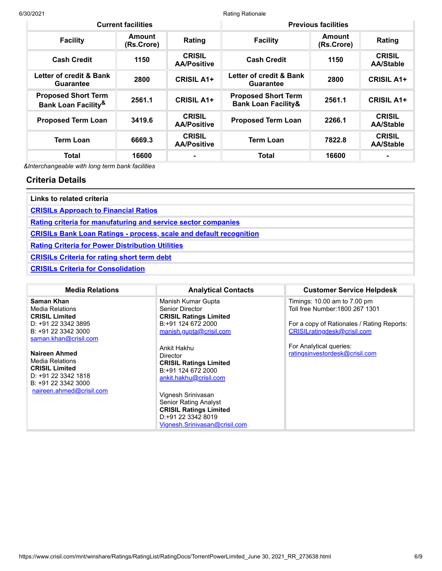| <b>Current facilities</b>                                               |                             |                                     | <b>Previous facilities</b>                                   |                      |                                   |
|-------------------------------------------------------------------------|-----------------------------|-------------------------------------|--------------------------------------------------------------|----------------------|-----------------------------------|
| <b>Facility</b>                                                         | <b>Amount</b><br>(Rs.Crore) | Rating                              | <b>Facility</b>                                              | Amount<br>(Rs.Crore) | Rating                            |
| <b>Cash Credit</b>                                                      | 1150                        | <b>CRISIL</b><br><b>AA/Positive</b> | <b>Cash Credit</b>                                           | 1150                 | <b>CRISIL</b><br><b>AA/Stable</b> |
| Letter of credit & Bank<br><b>Guarantee</b>                             | 2800                        | <b>CRISIL A1+</b>                   | Letter of credit & Bank<br><b>Guarantee</b>                  | 2800                 | <b>CRISIL A1+</b>                 |
| <b>Proposed Short Term</b><br><b>Bank Loan Facility<sup>&amp;</sup></b> | 2561.1                      | <b>CRISIL A1+</b>                   | <b>Proposed Short Term</b><br><b>Bank Loan Facility&amp;</b> | 2561.1               | <b>CRISIL A1+</b>                 |
| <b>Proposed Term Loan</b>                                               | 3419.6                      | <b>CRISIL</b><br><b>AA/Positive</b> | <b>Proposed Term Loan</b>                                    | 2266.1               | <b>CRISIL</b><br><b>AA/Stable</b> |
| <b>Term Loan</b>                                                        | 6669.3                      | <b>CRISIL</b><br><b>AA/Positive</b> | <b>Term Loan</b>                                             | 7822.8               | <b>CRISIL</b><br><b>AA/Stable</b> |
| <b>Total</b>                                                            | 16600                       | $\blacksquare$                      | <b>Total</b>                                                 | 16600                |                                   |

*&Interchangeable with long term bank facilities*

# **Criteria Details**

| Links to related criteria                                                 |
|---------------------------------------------------------------------------|
| <b>CRISILs Approach to Financial Ratios</b>                               |
| Rating criteria for manufaturing and service sector companies             |
| <b>CRISILs Bank Loan Ratings - process, scale and default recognition</b> |
| <b>Rating Criteria for Power Distribution Utilities</b>                   |
| <b>CRISILs Criteria for rating short term debt</b>                        |
| <b>CRISILs Criteria for Consolidation</b>                                 |

| <b>Media Relations</b>                                                                                                             | <b>Analytical Contacts</b>                                                                               | <b>Customer Service Helpdesk</b>                          |
|------------------------------------------------------------------------------------------------------------------------------------|----------------------------------------------------------------------------------------------------------|-----------------------------------------------------------|
| Saman Khan                                                                                                                         | Manish Kumar Gupta                                                                                       | Timings: 10.00 am to 7.00 pm                              |
| <b>Media Relations</b><br><b>CRISIL Limited</b>                                                                                    | Senior Director<br><b>CRISIL Ratings Limited</b>                                                         | Toll free Number: 1800 267 1301                           |
| D: $+91$ 22 3342 3895                                                                                                              | B:+91 124 672 2000                                                                                       | For a copy of Rationales / Rating Reports:                |
| B: +91 22 3342 3000                                                                                                                | manish.gupta@crisil.com                                                                                  | CRISILratingdesk@crisil.com                               |
| saman.khan@crisil.com<br>Naireen Ahmed<br>Media Relations<br><b>CRISIL Limited</b><br>D: $+91$ 22 3342 1818<br>B: +91 22 3342 3000 | Ankit Hakhu<br>Director<br><b>CRISIL Ratings Limited</b><br>B:+91 124 672 2000<br>ankit.hakhu@crisil.com | For Analytical queries:<br>ratingsinvestordesk@crisil.com |
| naireen.ahmed@crisil.com                                                                                                           | Vignesh Srinivasan<br><b>Senior Rating Analyst</b>                                                       |                                                           |
|                                                                                                                                    | <b>CRISIL Ratings Limited</b><br>D:+91 22 3342 8019                                                      |                                                           |
|                                                                                                                                    | Vignesh.Srinivasan@crisil.com                                                                            |                                                           |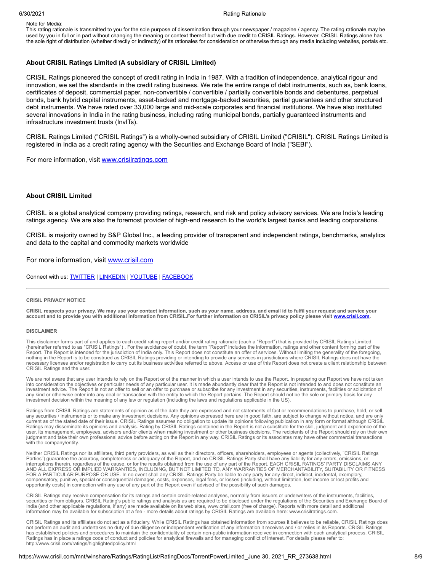#### 6/30/2021 **Rationale** Rationale Rationale Rationale Rationale Rationale Rationale

Note for Media:

This rating rationale is transmitted to you for the sole purpose of dissemination through your newspaper / magazine / agency. The rating rationale may be used by you in full or in part without changing the meaning or context thereof but with due credit to CRISIL Ratings. However, CRISIL Ratings alone has the sole right of distribution (whether directly or indirectly) of its rationales for consideration or otherwise through any media including websites, portals etc.

#### **About CRISIL Ratings Limited (A subsidiary of CRISIL Limited)**

CRISIL Ratings pioneered the concept of credit rating in India in 1987. With a tradition of independence, analytical rigour and innovation, we set the standards in the credit rating business. We rate the entire range of debt instruments, such as, bank loans, certificates of deposit, commercial paper, non-convertible / convertible / partially convertible bonds and debentures, perpetual bonds, bank hybrid capital instruments, asset-backed and mortgage-backed securities, partial guarantees and other structured debt instruments. We have rated over 33,000 large and mid-scale corporates and financial institutions. We have also instituted several innovations in India in the rating business, including rating municipal bonds, partially guaranteed instruments and infrastructure investment trusts (InvITs).

CRISIL Ratings Limited ("CRISIL Ratings") is a wholly-owned subsidiary of CRISIL Limited ("CRISIL"). CRISIL Ratings Limited is registered in India as a credit rating agency with the Securities and Exchange Board of India ("SEBI").

For more information, visit [www.crisilratings.com](http://www.crisilratings.com/)

#### **About CRISIL Limited**

CRISIL is a global analytical company providing ratings, research, and risk and policy advisory services. We are India's leading ratings agency. We are also the foremost provider of high-end research to the world's largest banks and leading corporations.

CRISIL is majority owned by S&P Global Inc., a leading provider of transparent and independent ratings, benchmarks, analytics and data to the capital and commodity markets worldwide

For more information, visit [www.crisil.com](http://www.crisil.com/)

Connect with us: **[TWITTER](https://twitter.com/CRISILLimited) | [LINKEDIN](http://www.linkedin.com/company/crisil) | [YOUTUBE](https://www.youtube.com/user/CRISILLimited) | [FACEBOOK](https://www.facebook.com/CRISILLimited)** 

#### **CRISIL PRIVACY NOTICE**

CRISIL respects your privacy. We may use your contact information, such as your name, address, and email id to fulfil your request and service your account and to provide you with additional information from CRISIL.For further information on CRISIL's privacy policy please visit [www.crisil.com](https://www.crisil.com/en/home/crisil-privacy-notice.html).

#### **DISCLAIMER**

This disclaimer forms part of and applies to each credit rating report and/or credit rating rationale (each a "Report") that is provided by CRISIL Ratings Limited (hereinafter referred to as "CRISIL Ratings") . For the avoidance of doubt, the term "Report" includes the information, ratings and other content forming part of the<br>Report. The Report is intended for the jurisdiction of I nothing in the Report is to be construed as CRISIL Ratings providing or intending to provide any services in jurisdictions where CRISIL Ratings does not have the necessary licenses and/or registration to carry out its business activities referred to above. Access or use of this Report does not create a client relationship between CRISIL Ratings and the user.

We are not aware that any user intends to rely on the Report or of the manner in which a user intends to use the Report. In preparing our Report we have not taken into consideration the objectives or particular needs of any particular user. It is made abundantly clear that the Report is not intended to and does not constitute an investment advice. The Report is not an offer to sell or an offer to purchase or subscribe for any investment in any securities, instruments, facilities or solicitation of any kind or otherwise enter into any deal or transaction with the entity to which the Report pertains. The Report should not be the sole or primary basis for any<br>investment decision within the meaning of any law or regulat

Ratings from CRISIL Ratings are statements of opinion as of the date they are expressed and not statements of fact or recommendations to purchase, hold, or sell any securities / instruments or to make any investment decisions. Any opinions expressed here are in good faith, are subject to change without notice, and are only<br>current as of the stated date of their issue. CRISIL Ratin user, its management, employees, advisors and/or clients when making investment or other business decisions. The recipients of the Report should rely on their own judgment and take their own professional advice before acting on the Report in any way. CRISIL Ratings or its associates may have other commercial transactions with the company/entity.

Neither CRISIL Ratings nor its affiliates, third party providers, as well as their directors, officers, shareholders, employees or agents (collectively, "CRISIL Ratings Parties") guarantee the accuracy, completeness or adequacy of the Report, and no CRISIL Ratings Party shall have any liability for any errors, omissions, or interruptions therein, regardless of the cause, or for the results obtained from the use of any part of the Report. EACH CRISIL RATINGS' PARTY DISCLAIMS ANY AND ALL EXPRESS OR IMPLIED WARRANTIES, INCLUDING, BUT NOT LIMITED TO, ANY WARRANTIES OF MERCHANTABILITY, SUITABILITY OR FITNESS<br>FOR A PARTICULAR PURPOSE OR USE. In no event shall any CRISIL Ratings Party be liable to any p compensatory, punitive, special or consequential damages, costs, expenses, legal fees, or losses (including, without limitation, lost income or lost profits and<br>opportunity costs) in connection with any use of any part of

CRISIL Ratings may receive compensation for its ratings and certain credit-related analyses, normally from issuers or underwriters of the instruments, facilities,<br>securities or from obligors. CRISIL Rating's public ratings

CRISIL Ratings and its affiliates do not act as a fiduciary. While CRISIL Ratings has obtained information from sources it believes to be reliable, CRISIL Ratings does<br>not perform an audit and undertakes no duty of due dil has established policies and procedures to maintain the confidentiality of certain non-public information received in connection with each analytical process. CRISIL Ratings has in place a ratings code of conduct and policies for analytical firewalls and for managing conflict of interest. For details please refer to: http://www.crisil.com/ratings/highlightedpolicy.html